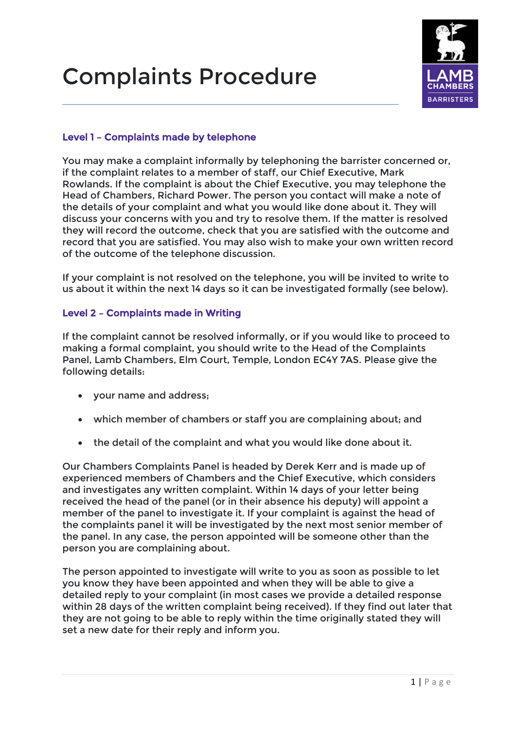# Complaints Procedure



# Level 1 – Complaints made by telephone

You may make a complaint informally by telephoning the barrister concerned or, if the complaint relates to a member of staff, our Chief Executive, Mark Rowlands. If the complaint is about the Chief Executive, you may telephone the Head of Chambers, Richard Power. The person you contact will make a note of the details of your complaint and what you would like done about it. They will discuss your concerns with you and try to resolve them. If the matter is resolved they will record the outcome, check that you are satisfied with the outcome and record that you are satisfied. You may also wish to make your own written record of the outcome of the telephone discussion.

If your complaint is not resolved on the telephone, you will be invited to write to us about it within the next 14 days so it can be investigated formally (see below).

# Level 2 – Complaints made in Writing

If the complaint cannot be resolved informally, or if you would like to proceed to making a formal complaint, you should write to the Head of the Complaints Panel, Lamb Chambers, Elm Court, Temple, London EC4Y 7AS. Please give the following details:

- your name and address;
- which member of chambers or staff you are complaining about; and
- the detail of the complaint and what you would like done about it.

Our Chambers Complaints Panel is headed by Derek Kerr and is made up of experienced members of Chambers and the Chief Executive, which considers and investigates any written complaint. Within 14 days of your letter being received the head of the panel (or in their absence his deputy) will appoint a member of the panel to investigate it. If your complaint is against the head of the complaints panel it will be investigated by the next most senior member of the panel. In any case, the person appointed will be someone other than the person you are complaining about.

The person appointed to investigate will write to you as soon as possible to let you know they have been appointed and when they will be able to give a detailed reply to your complaint (in most cases we provide a detailed response within 28 days of the written complaint being received). If they find out later that they are not going to be able to reply within the time originally stated they will set a new date for their reply and inform you.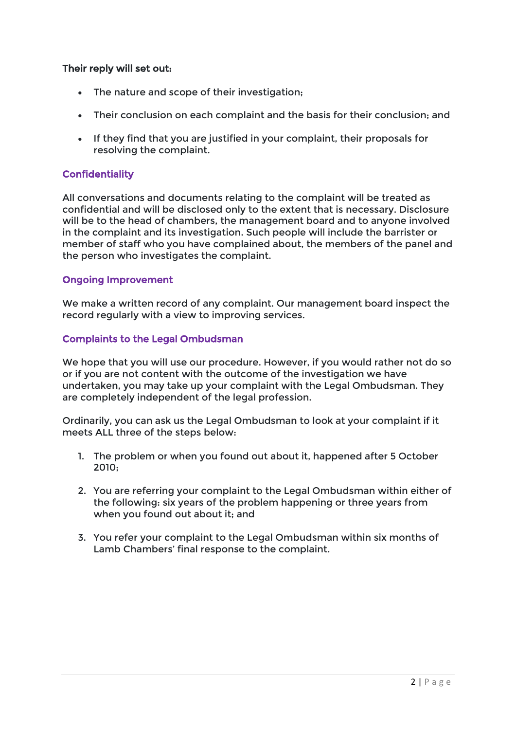#### Their reply will set out:

- The nature and scope of their investigation;
- Their conclusion on each complaint and the basis for their conclusion; and
- If they find that you are justified in your complaint, their proposals for resolving the complaint.

# **Confidentiality**

All conversations and documents relating to the complaint will be treated as confidential and will be disclosed only to the extent that is necessary. Disclosure will be to the head of chambers, the management board and to anyone involved in the complaint and its investigation. Such people will include the barrister or member of staff who you have complained about, the members of the panel and the person who investigates the complaint.

# Ongoing Improvement

We make a written record of any complaint. Our management board inspect the record regularly with a view to improving services.

# Complaints to the Legal Ombudsman

We hope that you will use our procedure. However, if you would rather not do so or if you are not content with the outcome of the investigation we have undertaken, you may take up your complaint with the Legal Ombudsman. They are completely independent of the legal profession.

Ordinarily, you can ask us the Legal Ombudsman to look at your complaint if it meets ALL three of the steps below:

- 1. The problem or when you found out about it, happened after 5 October 2010;
- 2. You are referring your complaint to the Legal Ombudsman within either of the following: six years of the problem happening or three years from when you found out about it; and
- 3. You refer your complaint to the Legal Ombudsman within six months of Lamb Chambers' final response to the complaint.